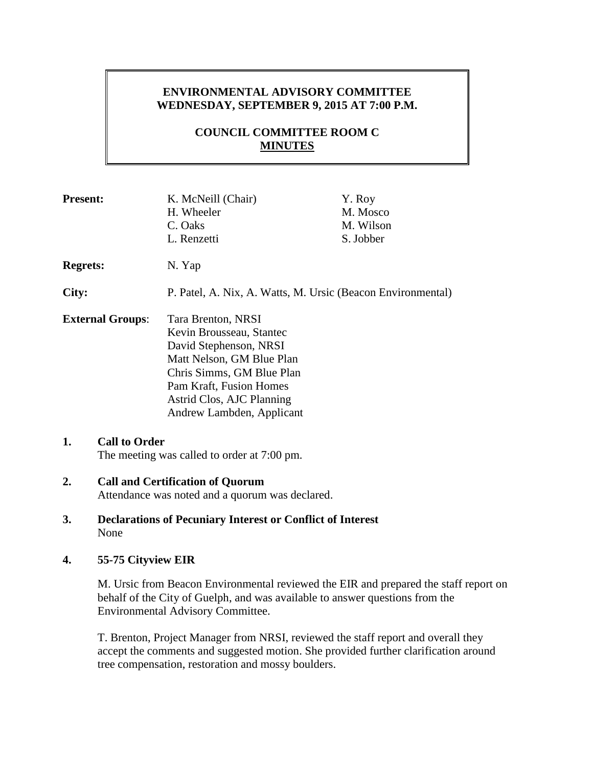# **ENVIRONMENTAL ADVISORY COMMITTEE WEDNESDAY, SEPTEMBER 9, 2015 AT 7:00 P.M.**

# **COUNCIL COMMITTEE ROOM C MINUTES**

| <b>Present:</b>         |                                                                                            | K. McNeill (Chair)<br>H. Wheeler<br>C. Oaks<br>L. Renzetti                                                                                                                                                              | Y. Roy<br>M. Mosco<br>M. Wilson<br>S. Jobber |  |
|-------------------------|--------------------------------------------------------------------------------------------|-------------------------------------------------------------------------------------------------------------------------------------------------------------------------------------------------------------------------|----------------------------------------------|--|
| <b>Regrets:</b>         |                                                                                            | N. Yap                                                                                                                                                                                                                  |                                              |  |
| City:                   |                                                                                            | P. Patel, A. Nix, A. Watts, M. Ursic (Beacon Environmental)                                                                                                                                                             |                                              |  |
| <b>External Groups:</b> |                                                                                            | Tara Brenton, NRSI<br>Kevin Brousseau, Stantec<br>David Stephenson, NRSI<br>Matt Nelson, GM Blue Plan<br>Chris Simms, GM Blue Plan<br>Pam Kraft, Fusion Homes<br>Astrid Clos, AJC Planning<br>Andrew Lambden, Applicant |                                              |  |
| 1.                      | <b>Call to Order</b><br>The meeting was called to order at 7:00 pm.                        |                                                                                                                                                                                                                         |                                              |  |
| 2.                      | <b>Call and Certification of Quorum</b><br>Attendance was noted and a quorum was declared. |                                                                                                                                                                                                                         |                                              |  |
| 3.                      | <b>Declarations of Pecuniary Interest or Conflict of Interest</b><br>None                  |                                                                                                                                                                                                                         |                                              |  |

**4. 55-75 Cityview EIR**

M. Ursic from Beacon Environmental reviewed the EIR and prepared the staff report on behalf of the City of Guelph, and was available to answer questions from the Environmental Advisory Committee.

T. Brenton, Project Manager from NRSI, reviewed the staff report and overall they accept the comments and suggested motion. She provided further clarification around tree compensation, restoration and mossy boulders.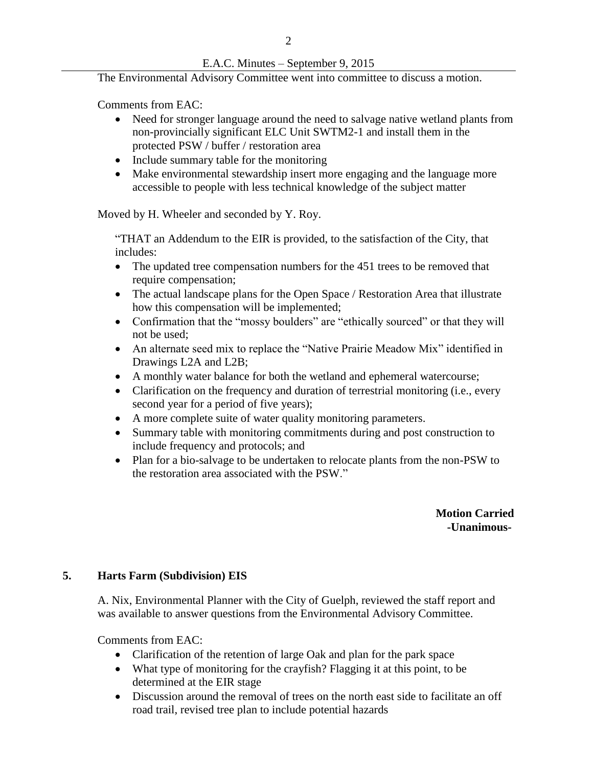## E.A.C. Minutes – September 9, 2015

The Environmental Advisory Committee went into committee to discuss a motion.

Comments from EAC:

- Need for stronger language around the need to salvage native wetland plants from non-provincially significant ELC Unit SWTM2-1 and install them in the protected PSW / buffer / restoration area
- Include summary table for the monitoring
- Make environmental stewardship insert more engaging and the language more accessible to people with less technical knowledge of the subject matter

Moved by H. Wheeler and seconded by Y. Roy.

"THAT an Addendum to the EIR is provided, to the satisfaction of the City, that includes:

- The updated tree compensation numbers for the 451 trees to be removed that require compensation;
- The actual landscape plans for the Open Space / Restoration Area that illustrate how this compensation will be implemented;
- Confirmation that the "mossy boulders" are "ethically sourced" or that they will not be used;
- An alternate seed mix to replace the "Native Prairie Meadow Mix" identified in Drawings L2A and L2B;
- A monthly water balance for both the wetland and ephemeral watercourse;
- Clarification on the frequency and duration of terrestrial monitoring (i.e., every second year for a period of five years);
- A more complete suite of water quality monitoring parameters.
- Summary table with monitoring commitments during and post construction to include frequency and protocols; and
- Plan for a bio-salvage to be undertaken to relocate plants from the non-PSW to the restoration area associated with the PSW."

 **Motion Carried -Unanimous-**

## **5. Harts Farm (Subdivision) EIS**

A. Nix, Environmental Planner with the City of Guelph, reviewed the staff report and was available to answer questions from the Environmental Advisory Committee.

Comments from EAC:

- Clarification of the retention of large Oak and plan for the park space
- What type of monitoring for the crayfish? Flagging it at this point, to be determined at the EIR stage
- Discussion around the removal of trees on the north east side to facilitate an off road trail, revised tree plan to include potential hazards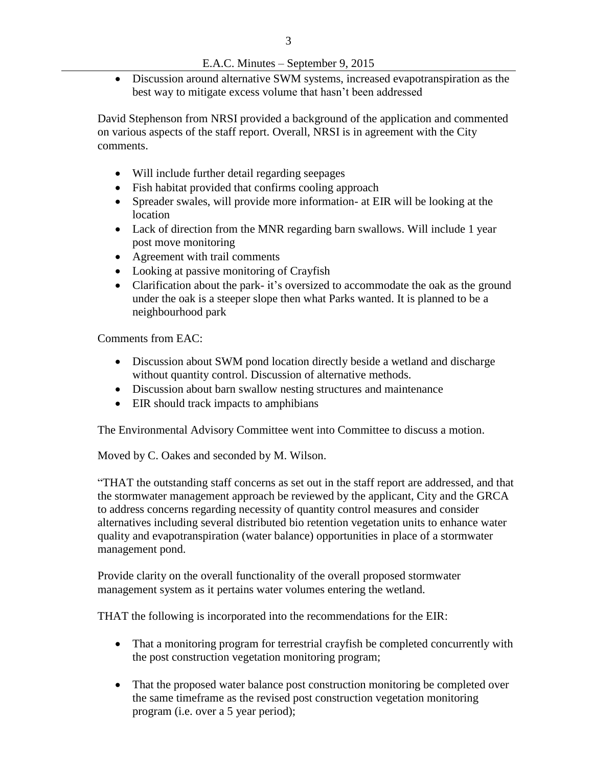## E.A.C. Minutes – September 9, 2015

 Discussion around alternative SWM systems, increased evapotranspiration as the best way to mitigate excess volume that hasn't been addressed

David Stephenson from NRSI provided a background of the application and commented on various aspects of the staff report. Overall, NRSI is in agreement with the City comments.

- Will include further detail regarding seepages
- Fish habitat provided that confirms cooling approach
- Spreader swales, will provide more information- at EIR will be looking at the location
- Lack of direction from the MNR regarding barn swallows. Will include 1 year post move monitoring
- Agreement with trail comments
- Looking at passive monitoring of Crayfish
- Clarification about the park- it's oversized to accommodate the oak as the ground under the oak is a steeper slope then what Parks wanted. It is planned to be a neighbourhood park

Comments from EAC:

- Discussion about SWM pond location directly beside a wetland and discharge without quantity control. Discussion of alternative methods.
- Discussion about barn swallow nesting structures and maintenance
- EIR should track impacts to amphibians

The Environmental Advisory Committee went into Committee to discuss a motion.

Moved by C. Oakes and seconded by M. Wilson.

"THAT the outstanding staff concerns as set out in the staff report are addressed, and that the stormwater management approach be reviewed by the applicant, City and the GRCA to address concerns regarding necessity of quantity control measures and consider alternatives including several distributed bio retention vegetation units to enhance water quality and evapotranspiration (water balance) opportunities in place of a stormwater management pond.

Provide clarity on the overall functionality of the overall proposed stormwater management system as it pertains water volumes entering the wetland.

THAT the following is incorporated into the recommendations for the EIR:

- That a monitoring program for terrestrial crayfish be completed concurrently with the post construction vegetation monitoring program;
- That the proposed water balance post construction monitoring be completed over the same timeframe as the revised post construction vegetation monitoring program (i.e. over a 5 year period);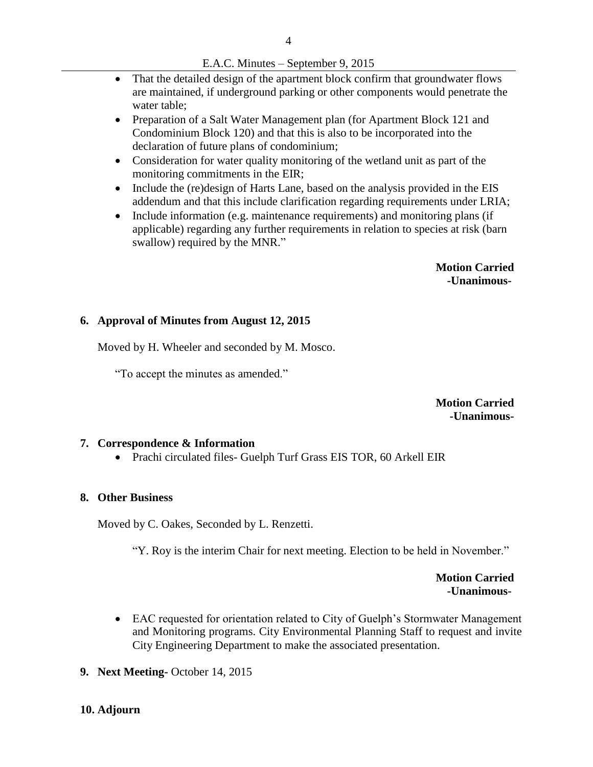- That the detailed design of the apartment block confirm that groundwater flows are maintained, if underground parking or other components would penetrate the water table;
- Preparation of a Salt Water Management plan (for Apartment Block 121 and Condominium Block 120) and that this is also to be incorporated into the declaration of future plans of condominium;
- Consideration for water quality monitoring of the wetland unit as part of the monitoring commitments in the EIR;
- Include the (re)design of Harts Lane, based on the analysis provided in the EIS addendum and that this include clarification regarding requirements under LRIA;
- Include information (e.g. maintenance requirements) and monitoring plans (if applicable) regarding any further requirements in relation to species at risk (barn swallow) required by the MNR."

 **Motion Carried -Unanimous-**

### **6. Approval of Minutes from August 12, 2015**

Moved by H. Wheeler and seconded by M. Mosco.

"To accept the minutes as amended."

**Motion Carried -Unanimous-**

#### **7. Correspondence & Information**

Prachi circulated files- Guelph Turf Grass EIS TOR, 60 Arkell EIR

### **8. Other Business**

Moved by C. Oakes, Seconded by L. Renzetti.

"Y. Roy is the interim Chair for next meeting. Election to be held in November."

**Motion Carried -Unanimous-**

- EAC requested for orientation related to City of Guelph's Stormwater Management and Monitoring programs. City Environmental Planning Staff to request and invite City Engineering Department to make the associated presentation.
- **9. Next Meeting-** October 14, 2015